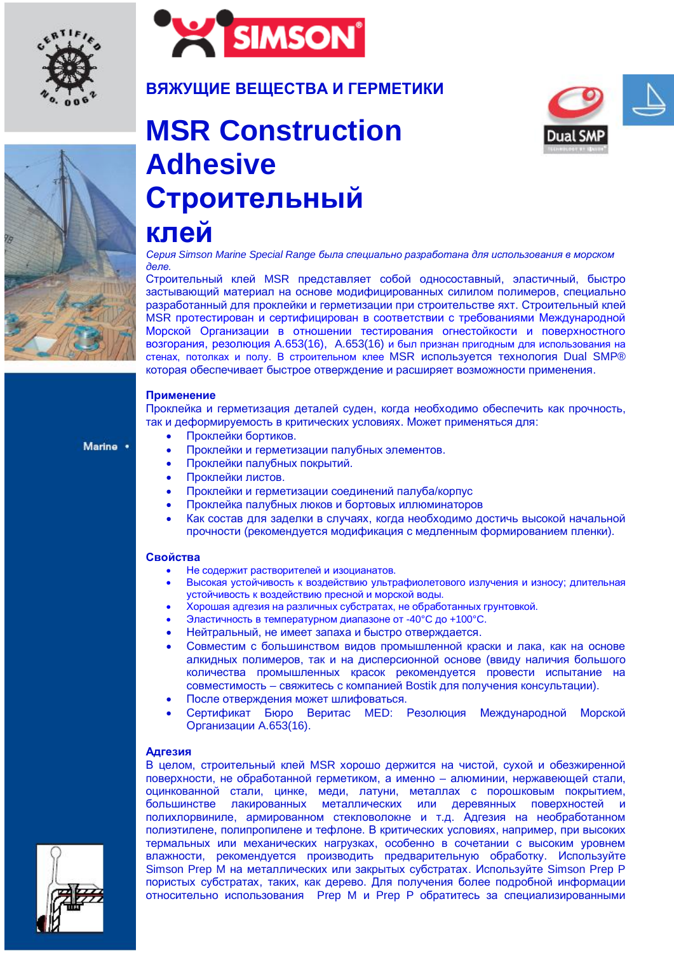



# **ВЯЖУЩИЕ ВЕЩЕСТВА И ГЕРМЕТИКИ**



# **MSR Construction Adhesive** Строительный



Серия Simson Marine Special Range была специально разработана для использования в морском  $\overline{\theta}$ e $\overline{\theta}$ .

Строительный клей MSR представляет собой односоставный, эластичный, быстро застывающий материал на основе модифицированных силилом полимеров, специально разработанный для проклейки и герметизации при строительстве яхт. Строительный клей MSR протестирован и сертифицирован в соответствии с требованиями Международной Морской Организации в отношении тестирования огнестойкости и поверхностного возгорания, резолюция А.653(16), А.653(16) и был признан пригодным для использования на стенах, потолках и полу. В строительном клее MSR используется технология Dual SMP® которая обеспечивает быстрое отверждение и расширяет возможности применения.

### Применение

**клей** 

Проклейка и герметизация деталей суден, когда необходимо обеспечить как прочность, так и деформируемость в критических условиях. Может применяться для:

Marine .

- Проклейки бортиков.
- Проклейки и герметизации палубных элементов.
- Проклейки палубных покрытий.
- Проклейки листов.
- Проклейки и герметизации соединений палуба/корпус
- Проклейка палубных люков и бортовых иллюминаторов
- Как состав для заделки в случаях, когда необходимо достичь высокой начальной прочности (рекомендуется модификация с медленным формированием пленки).

#### **Свойства**

- Не содержит растворителей и изоцианатов.
- Высокая устойчивость к воздействию ультрафиолетового излучения и износу; длительная УСТОЙЧИВОСТЬ К ВОЗДЕЙСТВИЮ ПРЕСНОЙ И МОРСКОЙ ВОДЫ.
- Хорошая адгезия на различных субстратах, не обработанных грунтовкой.
- Эластичность в температурном диапазоне от -40°С до +100°С.
- Нейтральный, не имеет запаха и быстро отверждается.
- Совместим с большинством видов промышленной краски и лака, как на основе алкидных полимеров, так и на дисперсионной основе (ввиду наличия большого количества промышленных красок рекомендуется провести испытание на совместимость – свяжитесь с компанией Bostik для получения консультации).
- После отверждения может шлифоваться.
- Сертификат Бюро Веритас МЕD: Резолюция Международной Морской Организации А.653(16).

#### **Адгезия**

В целом, строительный клей MSR хорошо держится на чистой, сухой и обезжиренной поверхности, не обработанной герметиком, а именно – алюминии, нержавеющей стали, оцинкованной стали, цинке, меди, латуни, металлах с порошковым покрытием, большинстве лакированных металлических или деревянных поверхностей и полихлорвиниле, армированном стекловолокне и т.д. Адгезия на необработанном полиэтилене, полипропилене и тефлоне. В критических условиях, например, при высоких термальных или механических нагрузках, особенно в сочетании с высоким уровнем влажности, рекомендуется производить предварительную обработку. Используйте Simson Prep M на металлических или закрытых субстратах. Используйте Simson Prep P пористых субстратах, таких, как дерево. Для получения более подробной информации относительно использования Prep M и Prep P обратитесь за специализированными